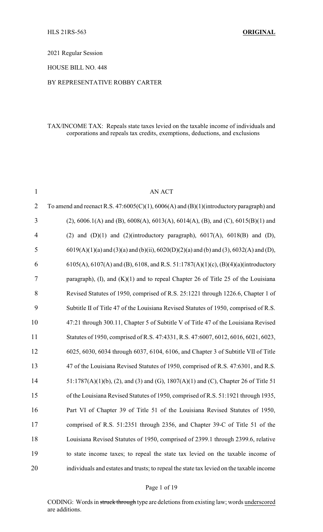2021 Regular Session

HOUSE BILL NO. 448

### BY REPRESENTATIVE ROBBY CARTER

### TAX/INCOME TAX: Repeals state taxes levied on the taxable income of individuals and corporations and repeals tax credits, exemptions, deductions, and exclusions

| $\mathbf{1}$   | <b>AN ACT</b>                                                                                            |
|----------------|----------------------------------------------------------------------------------------------------------|
| $\overline{2}$ | To amend and reenact R.S. 47:6005(C)(1), 6006(A) and (B)(1)(introductory paragraph) and                  |
| 3              | $(2)$ , 6006.1(A) and (B), 6008(A), 6013(A), 6014(A), (B), and (C), 6015(B)(1) and                       |
| 4              | (2) and $(D)(1)$ and $(2)(introducing paragnah)$ , $6017(A)$ , $6018(B)$ and $(D)$ ,                     |
| 5              | $6019(A)(1)(a)$ and $(3)(a)$ and $(b)(ii)$ , $6020(D)(2)(a)$ and $(b)$ and $(3)$ , $6032(A)$ and $(D)$ , |
| 6              | 6105(A), 6107(A) and (B), 6108, and R.S. 51:1787(A)(1)(c), (B)(4)(a)(introductory                        |
| 7              | paragraph), $(I)$ , and $(K)(I)$ and to repeal Chapter 26 of Title 25 of the Louisiana                   |
| 8              | Revised Statutes of 1950, comprised of R.S. 25:1221 through 1226.6, Chapter 1 of                         |
| 9              | Subtitle II of Title 47 of the Louisiana Revised Statutes of 1950, comprised of R.S.                     |
| 10             | 47:21 through 300.11, Chapter 5 of Subtitle V of Title 47 of the Louisiana Revised                       |
| 11             | Statutes of 1950, comprised of R.S. 47:4331, R.S. 47:6007, 6012, 6016, 6021, 6023,                       |
| 12             | 6025, 6030, 6034 through 6037, 6104, 6106, and Chapter 3 of Subtitle VII of Title                        |
| 13             | 47 of the Louisiana Revised Statutes of 1950, comprised of R.S. 47:6301, and R.S.                        |
| 14             | $51:1787(A)(1)(b)$ , (2), and (3) and (G), 1807(A)(1) and (C), Chapter 26 of Title 51                    |
| 15             | of the Louisiana Revised Statutes of 1950, comprised of R.S. 51:1921 through 1935,                       |
| 16             | Part VI of Chapter 39 of Title 51 of the Louisiana Revised Statutes of 1950,                             |
| 17             | comprised of R.S. 51:2351 through 2356, and Chapter 39-C of Title 51 of the                              |
| 18             | Louisiana Revised Statutes of 1950, comprised of 2399.1 through 2399.6, relative                         |
| 19             | to state income taxes; to repeal the state tax levied on the taxable income of                           |
| 20             | individuals and estates and trusts; to repeal the state tax levied on the taxable income                 |

#### Page 1 of 19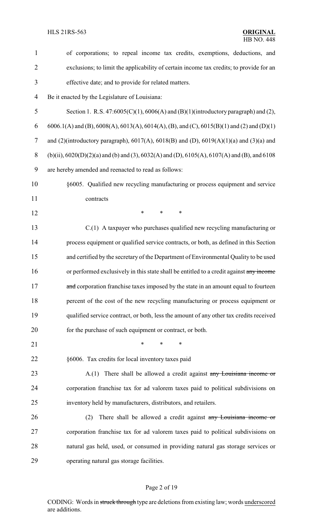| $\mathbf{1}$             | of corporations; to repeal income tax credits, exemptions, deductions, and                     |  |
|--------------------------|------------------------------------------------------------------------------------------------|--|
| $\overline{2}$           | exclusions; to limit the applicability of certain income tax credits; to provide for an        |  |
| 3                        | effective date; and to provide for related matters.                                            |  |
| $\overline{\mathcal{A}}$ | Be it enacted by the Legislature of Louisiana:                                                 |  |
| 5                        | Section 1. R.S. $47:6005(C)(1)$ , $6006(A)$ and $(B)(1)$ (introductory paragraph) and (2),     |  |
| 6                        | 6006.1(A) and (B), 6008(A), 6013(A), 6014(A), (B), and (C), 6015(B)(1) and (2) and (D)(1)      |  |
| $\overline{7}$           | and (2)(introductory paragraph), $6017(A)$ , $6018(B)$ and (D), $6019(A)(1)(a)$ and (3)(a) and |  |
| 8                        | $(b)(ii)$ , 6020(D)(2)(a) and (b) and (3), 6032(A) and (D), 6105(A), 6107(A) and (B), and 6108 |  |
| 9                        | are hereby amended and reenacted to read as follows:                                           |  |
| 10                       | §6005. Qualified new recycling manufacturing or process equipment and service                  |  |
| 11                       | contracts                                                                                      |  |
| 12                       | $\ast$<br>$\ast$<br>∗                                                                          |  |
| 13                       | C.(1) A taxpayer who purchases qualified new recycling manufacturing or                        |  |
| 14                       | process equipment or qualified service contracts, or both, as defined in this Section          |  |
| 15                       | and certified by the secretary of the Department of Environmental Quality to be used           |  |
| 16                       | or performed exclusively in this state shall be entitled to a credit against any income        |  |
| 17                       | and corporation franchise taxes imposed by the state in an amount equal to fourteen            |  |
| 18                       | percent of the cost of the new recycling manufacturing or process equipment or                 |  |
| 19                       | qualified service contract, or both, less the amount of any other tax credits received         |  |
| 20                       | for the purchase of such equipment or contract, or both.                                       |  |
| 21                       | $\ast$<br>$\ast$<br>*                                                                          |  |
| 22                       | §6006. Tax credits for local inventory taxes paid                                              |  |
| 23                       | A.(1) There shall be allowed a credit against any Louisiana income or                          |  |
| 24                       | corporation franchise tax for ad valorem taxes paid to political subdivisions on               |  |
| 25                       | inventory held by manufacturers, distributors, and retailers.                                  |  |
| 26                       | There shall be allowed a credit against any Louisiana income or<br>(2)                         |  |
| 27                       | corporation franchise tax for ad valorem taxes paid to political subdivisions on               |  |
| 28                       | natural gas held, used, or consumed in providing natural gas storage services or               |  |
| 29                       | operating natural gas storage facilities.                                                      |  |
|                          |                                                                                                |  |

# Page 2 of 19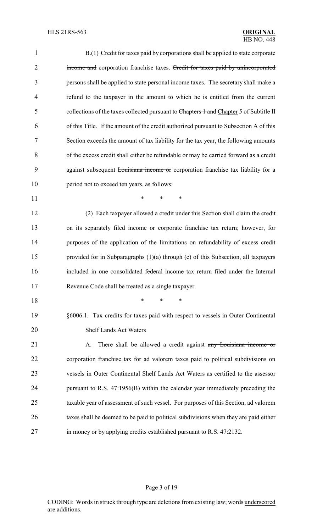| $\mathbf{1}$   | B.(1) Credit for taxes paid by corporations shall be applied to state corporate        |  |
|----------------|----------------------------------------------------------------------------------------|--|
| $\overline{2}$ | income and corporation franchise taxes. Credit for taxes paid by unincorporated        |  |
| 3              | persons shall be applied to state personal income taxes. The secretary shall make a    |  |
| 4              | refund to the taxpayer in the amount to which he is entitled from the current          |  |
| 5              | collections of the taxes collected pursuant to Chapters 1 and Chapter 5 of Subtitle II |  |
| 6              | of this Title. If the amount of the credit authorized pursuant to Subsection A of this |  |
| 7              | Section exceeds the amount of tax liability for the tax year, the following amounts    |  |
| 8              | of the excess credit shall either be refundable or may be carried forward as a credit  |  |
| 9              | against subsequent Louisiana income or corporation franchise tax liability for a       |  |
| 10             | period not to exceed ten years, as follows:                                            |  |
| 11             | $\ast$<br>*<br>*                                                                       |  |
| 12             | (2) Each taxpayer allowed a credit under this Section shall claim the credit           |  |
| 13             | on its separately filed income or corporate franchise tax return; however, for         |  |
| 14             | purposes of the application of the limitations on refundability of excess credit       |  |
| 15             | provided for in Subparagraphs $(1)(a)$ through $(c)$ of this Subsection, all taxpayers |  |
| 16             | included in one consolidated federal income tax return filed under the Internal        |  |
| 17             | Revenue Code shall be treated as a single taxpayer.                                    |  |
| 18             | *<br>*<br>*                                                                            |  |
| 19             | §6006.1. Tax credits for taxes paid with respect to vessels in Outer Continental       |  |
| 20             | <b>Shelf Lands Act Waters</b>                                                          |  |
| 21             | There shall be allowed a credit against any Louisiana income or<br>A.                  |  |
| 22             | corporation franchise tax for ad valorem taxes paid to political subdivisions on       |  |
| 23             | vessels in Outer Continental Shelf Lands Act Waters as certified to the assessor       |  |
| 24             | pursuant to R.S. 47:1956(B) within the calendar year immediately preceding the         |  |
| 25             | taxable year of assessment of such vessel. For purposes of this Section, ad valorem    |  |
| 26             | taxes shall be deemed to be paid to political subdivisions when they are paid either   |  |
| 27             | in money or by applying credits established pursuant to R.S. 47:2132.                  |  |
|                |                                                                                        |  |

Page 3 of 19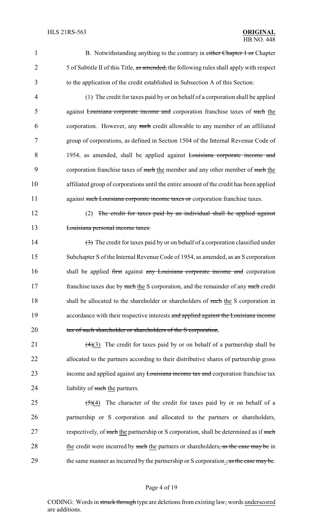1 B. Notwithstanding anything to the contrary in either Chapter 1 or Chapter 2 5 of Subtitle II of this Title, as amended, the following rules shall apply with respect 3 to the application of the credit established in Subsection A of this Section:

 (1) The credit for taxes paid by or on behalf of a corporation shall be applied against Louisiana corporate income and corporation franchise taxes of such the corporation. However, any such credit allowable to any member of an affiliated group of corporations, as defined in Section 1504 of the Internal Revenue Code of 1954, as amended, shall be applied against Louisiana corporate income and 9 corporation franchise taxes of such the member and any other member of such the affiliated group of corporations until the entire amount of the credit has been applied 11 against such Louisiana corporate income taxes or corporation franchise taxes.

12 (2) The credit for taxes paid by an individual shall be applied against 13 Louisiana personal income taxes.

14  $(3)$  The credit for taxes paid by or on behalf of a corporation classified under 15 Subchapter S of the Internal Revenue Code of 1954, as amended, as an S corporation 16 shall be applied first against any Louisiana corporate income and corporation 17 franchise taxes due by such the S corporation, and the remainder of any such credit 18 shall be allocated to the shareholder or shareholders of such the S corporation in 19 accordance with their respective interests and applied against the Louisiana income 20 tax of such shareholder or shareholders of the S corporation.

21  $(4)(3)$  The credit for taxes paid by or on behalf of a partnership shall be 22 allocated to the partners according to their distributive shares of partnership gross 23 income and applied against any Louisiana income tax and corporation franchise tax 24 liability of such the partners.

25  $(5)(4)$  The character of the credit for taxes paid by or on behalf of a 26 partnership or S corporation and allocated to the partners or shareholders, 27 respectively, of such the partnership or S corporation, shall be determined as if such 28 the credit were incurred by such the partners or shareholders, as the case may be in 29 the same manner as incurred by the partnership or S corporation., as the case may be.

#### Page 4 of 19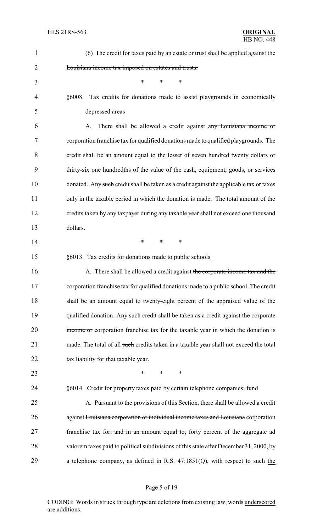| $\mathbf{1}$   | (6) The credit for taxes paid by an estate or trust shall be applied against the        |  |  |
|----------------|-----------------------------------------------------------------------------------------|--|--|
| $\overline{2}$ | Louisiana income tax imposed on estates and trusts.                                     |  |  |
| 3              | $\ast$<br>$\ast$<br>$\ast$                                                              |  |  |
| 4              | §6008. Tax credits for donations made to assist playgrounds in economically             |  |  |
| 5              | depressed areas                                                                         |  |  |
| 6              | There shall be allowed a credit against any Louisiana income or<br>A.                   |  |  |
| 7              | corporation franchise tax for qualified donations made to qualified playgrounds. The    |  |  |
| 8              | credit shall be an amount equal to the lesser of seven hundred twenty dollars or        |  |  |
| 9              | thirty-six one hundredths of the value of the cash, equipment, goods, or services       |  |  |
| 10             | donated. Any such credit shall be taken as a credit against the applicable tax or taxes |  |  |
| 11             | only in the taxable period in which the donation is made. The total amount of the       |  |  |
| 12             | credits taken by any taxpayer during any taxable year shall not exceed one thousand     |  |  |
| 13             | dollars.                                                                                |  |  |
| 14             | $\ast$<br>$\ast$<br>∗                                                                   |  |  |
| 15             | §6013. Tax credits for donations made to public schools                                 |  |  |
| 16             | A. There shall be allowed a credit against the corporate income tax and the             |  |  |
| 17             | corporation franchise tax for qualified donations made to a public school. The credit   |  |  |
| 18             | shall be an amount equal to twenty-eight percent of the appraised value of the          |  |  |
| 19             | qualified donation. Any such credit shall be taken as a credit against the corporate    |  |  |
| 20             | income or corporation franchise tax for the taxable year in which the donation is       |  |  |
| 21             | made. The total of all such credits taken in a taxable year shall not exceed the total  |  |  |
| 22             | tax liability for that taxable year.                                                    |  |  |
| 23             | $\ast$<br>$\ast$<br>∗                                                                   |  |  |
| 24             | §6014. Credit for property taxes paid by certain telephone companies; fund              |  |  |
| 25             | A. Pursuant to the provisions of this Section, there shall be allowed a credit          |  |  |
| 26             | against Louisiana corporation or individual income taxes and Louisiana corporation      |  |  |
| 27             | franchise tax for, and in an amount equal to, forty percent of the aggregate ad         |  |  |
| 28             | valorem taxes paid to political subdivisions of this state after December 31, 2000, by  |  |  |
| 29             | a telephone company, as defined in R.S. $47:1851(\text{Q})$ , with respect to such the  |  |  |
|                |                                                                                         |  |  |

# Page 5 of 19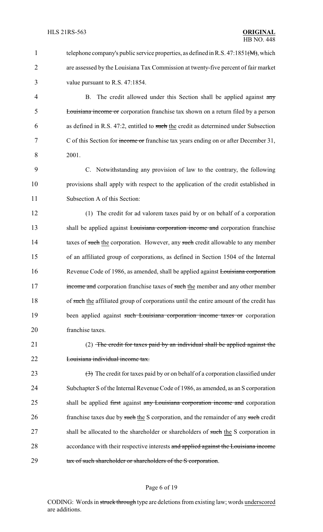1 telephone company's public service properties, as defined in R.S. 47:1851(M), which 2 are assessed by the Louisiana Tax Commission at twenty-five percent of fair market 3 value pursuant to R.S. 47:1854. 4 B. The credit allowed under this Section shall be applied against any 5 Louisiana income or corporation franchise tax shown on a return filed by a person 6 as defined in R.S. 47:2, entitled to such the credit as determined under Subsection 7 C of this Section for income or franchise tax years ending on or after December 31, 8 2001. 9 C. Notwithstanding any provision of law to the contrary, the following 10 provisions shall apply with respect to the application of the credit established in 11 Subsection A of this Section: 12 (1) The credit for ad valorem taxes paid by or on behalf of a corporation 13 shall be applied against **Louisiana corporation income and** corporation franchise 14 taxes of such the corporation. However, any such credit allowable to any member 15 of an affiliated group of corporations, as defined in Section 1504 of the Internal 16 Revenue Code of 1986, as amended, shall be applied against Louisiana corporation 17 income and corporation franchise taxes of such the member and any other member 18 of such the affiliated group of corporations until the entire amount of the credit has 19 been applied against such Louisiana corporation income taxes or corporation 20 franchise taxes. 21 (2) The credit for taxes paid by an individual shall be applied against the 22 **Louisiana individual income tax.** 23  $(3)$  The credit for taxes paid by or on behalf of a corporation classified under 24 Subchapter S of the Internal Revenue Code of 1986, as amended, as an S corporation 25 shall be applied first against any Louisiana corporation income and corporation 26 franchise taxes due by such the S corporation, and the remainder of any such credit 27 shall be allocated to the shareholder or shareholders of such the S corporation in 28 accordance with their respective interests and applied against the Louisiana income 29 tax of such shareholder or shareholders of the S corporation.

### Page 6 of 19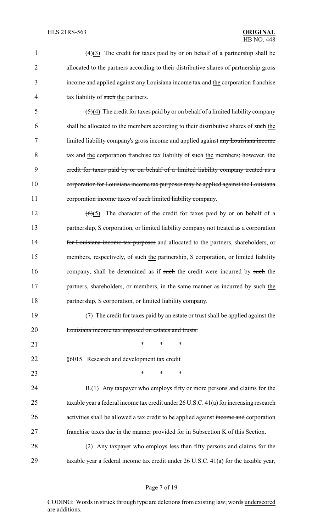| $\mathbf{1}$   | $\left(\frac{4}{3}\right)$ The credit for taxes paid by or on behalf of a partnership shall be      |  |  |
|----------------|-----------------------------------------------------------------------------------------------------|--|--|
| $\overline{2}$ | allocated to the partners according to their distributive shares of partnership gross               |  |  |
| 3              | income and applied against any Louisiana income tax and the corporation franchise                   |  |  |
| 4              | tax liability of such the partners.                                                                 |  |  |
| 5              | $\left(\frac{5}{2}\right)$ The credit for taxes paid by or on behalf of a limited liability company |  |  |
| 6              | shall be allocated to the members according to their distributive shares of such the                |  |  |
| 7              | limited liability company's gross income and applied against any Louisiana income                   |  |  |
| 8              | tax and the corporation franchise tax liability of such the members; however, the                   |  |  |
| 9              | eredit for taxes paid by or on behalf of a limited liability company treated as a                   |  |  |
| 10             | corporation for Louisiana income tax purposes may be applied against the Louisiana                  |  |  |
| 11             | corporation income taxes of such limited liability company.                                         |  |  |
| 12             | The character of the credit for taxes paid by or on behalf of a<br>$\left( 6 \right)$ (5)           |  |  |
| 13             | partnership, S corporation, or limited liability company not treated as a corporation               |  |  |
| 14             | for Louisiana income tax purposes and allocated to the partners, shareholders, or                   |  |  |
| 15             | members, respectively, of such the partnership, S corporation, or limited liability                 |  |  |
| 16             | company, shall be determined as if such the credit were incurred by such the                        |  |  |
| 17             | partners, shareholders, or members, in the same manner as incurred by such the                      |  |  |
| 18             | partnership, S corporation, or limited liability company.                                           |  |  |
| 19             | (7) The credit for taxes paid by an estate or trust shall be applied against the                    |  |  |
| 20             | Louisiana income tax imposed on estates and trusts.                                                 |  |  |
| 21             | $\ast$<br>$\ast$<br>$\ast$                                                                          |  |  |
| 22             | §6015. Research and development tax credit                                                          |  |  |
| 23             | *<br>*<br>∗                                                                                         |  |  |
| 24             | B.(1) Any taxpayer who employs fifty or more persons and claims for the                             |  |  |
| 25             | taxable year a federal income tax credit under 26 U.S.C. 41(a) for increasing research              |  |  |
| 26             | activities shall be allowed a tax credit to be applied against income and corporation               |  |  |
| 27             | franchise taxes due in the manner provided for in Subsection K of this Section.                     |  |  |
| 28             | (2) Any taxpayer who employs less than fifty persons and claims for the                             |  |  |
| 29             | taxable year a federal income tax credit under 26 U.S.C. 41(a) for the taxable year,                |  |  |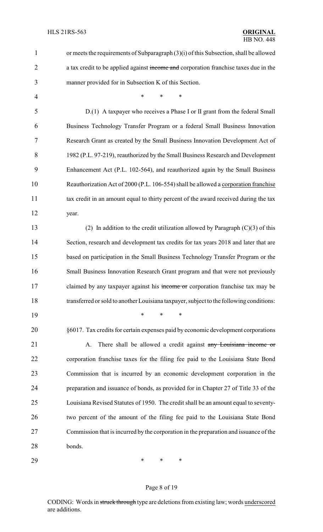| $\mathbf{1}$   | or meets the requirements of Subparagraph $(3)(i)$ of this Subsection, shall be allowed |  |
|----------------|-----------------------------------------------------------------------------------------|--|
| $\overline{2}$ | a tax credit to be applied against income and corporation franchise taxes due in the    |  |
| 3              | manner provided for in Subsection K of this Section.                                    |  |
| 4              | $\ast$<br>*                                                                             |  |
| 5              | D.(1) A taxpayer who receives a Phase I or II grant from the federal Small              |  |
| 6              | Business Technology Transfer Program or a federal Small Business Innovation             |  |
| 7              | Research Grant as created by the Small Business Innovation Development Act of           |  |
| 8              | 1982 (P.L. 97-219), reauthorized by the Small Business Research and Development         |  |
| 9              | Enhancement Act (P.L. 102-564), and reauthorized again by the Small Business            |  |
| 10             | Reauthorization Act of 2000 (P.L. 106-554) shall be allowed a corporation franchise     |  |
| 11             | tax credit in an amount equal to thirty percent of the award received during the tax    |  |
| 12             | year.                                                                                   |  |
| 13             | (2) In addition to the credit utilization allowed by Paragraph $(C)(3)$ of this         |  |
| 14             | Section, research and development tax credits for tax years 2018 and later that are     |  |
| 15             | based on participation in the Small Business Technology Transfer Program or the         |  |
| 16             | Small Business Innovation Research Grant program and that were not previously           |  |
| 17             | claimed by any taxpayer against his income or corporation franchise tax may be          |  |
| 18             | transferred or sold to another Louisiana taxpayer, subject to the following conditions: |  |
| 19             | $\ast$<br>$\ast$<br>$\ast$                                                              |  |
| 20             | §6017. Tax credits for certain expenses paid by economic development corporations       |  |
| 21             | There shall be allowed a credit against any Louisiana income or<br>A.                   |  |
| 22             | corporation franchise taxes for the filing fee paid to the Louisiana State Bond         |  |
| 23             | Commission that is incurred by an economic development corporation in the               |  |
| 24             | preparation and issuance of bonds, as provided for in Chapter 27 of Title 33 of the     |  |
| 25             | Louisiana Revised Statutes of 1950. The credit shall be an amount equal to seventy-     |  |
| 26             | two percent of the amount of the filing fee paid to the Louisiana State Bond            |  |
| 27             | Commission that is incurred by the corporation in the preparation and issuance of the   |  |
| 28             | bonds.                                                                                  |  |
|                |                                                                                         |  |

\* \* \*

# Page 8 of 19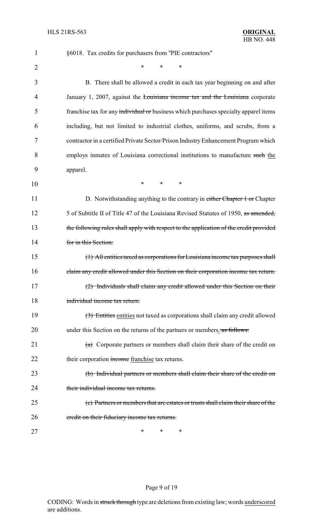| $\mathbf{1}$   | §6018. Tax credits for purchasers from "PIE contractors"                               |
|----------------|----------------------------------------------------------------------------------------|
| $\overline{2}$ | *<br>$\ast$<br>*                                                                       |
| 3              | B. There shall be allowed a credit in each tax year beginning on and after             |
| 4              | January 1, 2007, against the Louisiana income tax and the Louisiana corporate          |
| 5              | franchise tax for any individual or business which purchases specialty apparel items   |
| 6              | including, but not limited to industrial clothes, uniforms, and scrubs, from a         |
| 7              | contractor in a certified Private Sector/Prison Industry Enhancement Program which     |
| 8              | employs inmates of Louisiana correctional institutions to manufacture such the         |
| 9              | apparel.                                                                               |
| 10             | $\ast$<br>*<br>∗                                                                       |
| 11             | D. Notwithstanding anything to the contrary in either Chapter 1 or Chapter             |
| 12             | 5 of Subtitle II of Title 47 of the Louisiana Revised Statutes of 1950, as amended,    |
| 13             | the following rules shall apply with respect to the application of the credit provided |
| 14             | for in this Section:                                                                   |
| 15             | (1) All entities taxed as corporations for Louisiana income tax purposes shall         |
| 16             | claim any credit allowed under this Section on their corporation income tax return.    |
| 17             | (2) Individuals shall claim any credit allowed under this Section on their             |
| 18             | individual income tax return.                                                          |
| 19             | (3) Entities entities not taxed as corporations shall claim any credit allowed         |
| 20             | under this Section on the returns of the partners or members. as follows:              |
| 21             | $(a)$ Corporate partners or members shall claim their share of the credit on           |
| 22             | their corporation income franchise tax returns.                                        |
| 23             | (b) Individual partners or members shall claim their share of the credit on            |
| 24             | their individual income tax returns.                                                   |
| 25             | (c) Partners or members that are estates or trusts shall claim their share of the      |
| 26             | eredit on their fiduciary income tax returns.                                          |
| 27             | ∗<br>*<br>∗                                                                            |

# Page 9 of 19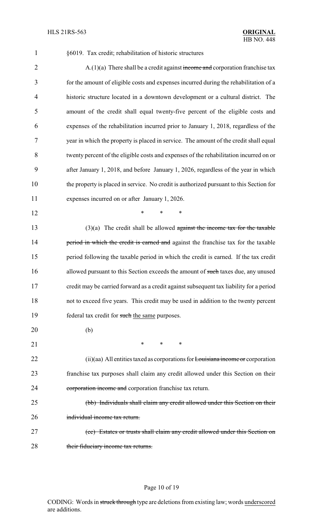#### 1 §6019. Tax credit; rehabilitation of historic structures

2 A.(1)(a) There shall be a credit against income and corporation franchise tax for the amount of eligible costs and expenses incurred during the rehabilitation of a historic structure located in a downtown development or a cultural district. The amount of the credit shall equal twenty-five percent of the eligible costs and expenses of the rehabilitation incurred prior to January 1, 2018, regardless of the year in which the property is placed in service. The amount of the credit shall equal twenty percent of the eligible costs and expenses of the rehabilitation incurred on or after January 1, 2018, and before January 1, 2026, regardless of the year in which the property is placed in service. No credit is authorized pursuant to this Section for expenses incurred on or after January 1, 2026.

12 **\*** \* \* \*

 $(3)(a)$  The credit shall be allowed against the income tax for the taxable 14 period in which the credit is earned and against the franchise tax for the taxable 15 period following the taxable period in which the credit is earned. If the tax credit 16 allowed pursuant to this Section exceeds the amount of such taxes due, any unused 17 credit may be carried forward as a credit against subsequent tax liability for a period 18 not to exceed five years. This credit may be used in addition to the twenty percent 19 federal tax credit for such the same purposes.

20 (b) 21 \* \* \* \* 22 (ii)(aa) All entities taxed as corporations for Louisiana income or corporation 23 franchise tax purposes shall claim any credit allowed under this Section on their 24 corporation income and corporation franchise tax return. 25 (bb) Individuals shall claim any credit allowed under this Section on their 26 individual income tax return. 27 (cc) Estates or trusts shall claim any credit allowed under this Section on

28 their fiduciary income tax returns.

#### Page 10 of 19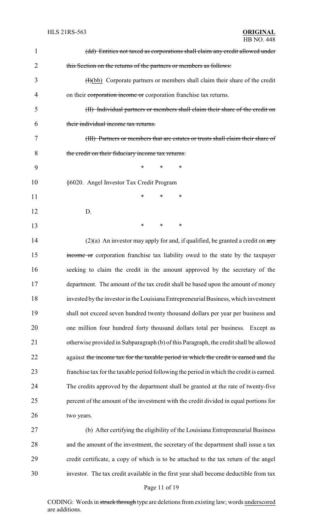| 1  | (dd) Entities not taxed as corporations shall claim any credit allowed under             |  |
|----|------------------------------------------------------------------------------------------|--|
| 2  | this Section on the returns of the partners or members as follows:                       |  |
| 3  | $(H)(bb)$ Corporate partners or members shall claim their share of the credit            |  |
| 4  | on their corporation income or corporation franchise tax returns.                        |  |
| 5  | (II) Individual partners or members shall claim their share of the credit on             |  |
| 6  | their individual income tax returns.                                                     |  |
| 7  | (III) Partners or members that are estates or trusts shall claim their share of          |  |
| 8  | the credit on their fiduciary income tax returns.                                        |  |
| 9  | *<br>*<br>∗                                                                              |  |
| 10 | §6020. Angel Investor Tax Credit Program                                                 |  |
| 11 | *<br>*<br>∗                                                                              |  |
| 12 | D.                                                                                       |  |
| 13 | *<br>*<br>∗                                                                              |  |
| 14 | $(2)(a)$ An investor may apply for and, if qualified, be granted a credit on any         |  |
| 15 | income or corporation franchise tax liability owed to the state by the taxpayer          |  |
| 16 | seeking to claim the credit in the amount approved by the secretary of the               |  |
| 17 | department. The amount of the tax credit shall be based upon the amount of money         |  |
| 18 | invested by the investor in the Louisiana Entrepreneurial Business, which investment     |  |
| 19 | shall not exceed seven hundred twenty thousand dollars per year per business and         |  |
| 20 | one million four hundred forty thousand dollars total per business. Except as            |  |
| 21 | otherwise provided in Subparagraph (b) of this Paragraph, the credit shall be allowed    |  |
| 22 | against the income tax for the taxable period in which the credit is earned and the      |  |
| 23 | franchise tax for the taxable period following the period in which the credit is earned. |  |
| 24 | The credits approved by the department shall be granted at the rate of twenty-five       |  |
| 25 | percent of the amount of the investment with the credit divided in equal portions for    |  |
| 26 | two years.                                                                               |  |
| 27 | (b) After certifying the eligibility of the Louisiana Entrepreneurial Business           |  |
| 28 | and the amount of the investment, the secretary of the department shall issue a tax      |  |
| 29 | credit certificate, a copy of which is to be attached to the tax return of the angel     |  |

investor. The tax credit available in the first year shall become deductible from tax

### Page 11 of 19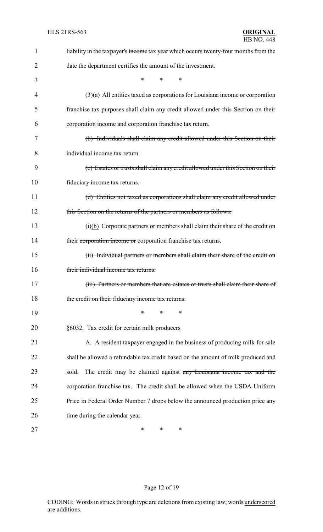| 1  | liability in the taxpayer's income tax year which occurs twenty-four months from the              |  |
|----|---------------------------------------------------------------------------------------------------|--|
| 2  | date the department certifies the amount of the investment.                                       |  |
| 3  | $\ast$<br>$\ast$<br>$\ast$                                                                        |  |
| 4  | $(3)(a)$ All entities taxed as corporations for Louisiana income or corporation                   |  |
| 5  | franchise tax purposes shall claim any credit allowed under this Section on their                 |  |
| 6  | corporation income and corporation franchise tax return.                                          |  |
| 7  | (b) Individuals shall claim any credit allowed under this Section on their                        |  |
| 8  | individual income tax return.                                                                     |  |
| 9  | (c) Estates or trusts shall claim any credit allowed under this Section on their                  |  |
| 10 | fiduciary income tax returns.                                                                     |  |
| 11 | (d) Entities not taxed as corporations shall claim any credit allowed under                       |  |
| 12 | this Section on the returns of the partners or members as follows:                                |  |
| 13 | $\overrightarrow{(t)}$ (b) Corporate partners or members shall claim their share of the credit on |  |
| 14 | their corporation income or corporation franchise tax returns.                                    |  |
| 15 | (ii) Individual partners or members shall claim their share of the credit on                      |  |
| 16 | their individual income tax returns.                                                              |  |
| 17 | (iii) Partners or members that are estates or trusts shall claim their share of                   |  |
| 18 | the credit on their fiduciary income tax returns.                                                 |  |
| 19 | ∗<br>*<br>∗                                                                                       |  |
| 20 | §6032. Tax credit for certain milk producers                                                      |  |
| 21 | A. A resident taxpayer engaged in the business of producing milk for sale                         |  |
| 22 | shall be allowed a refundable tax credit based on the amount of milk produced and                 |  |
| 23 | The credit may be claimed against any Louisiana income tax and the<br>sold.                       |  |
| 24 | corporation franchise tax. The credit shall be allowed when the USDA Uniform                      |  |
| 25 | Price in Federal Order Number 7 drops below the announced production price any                    |  |
| 26 | time during the calendar year.                                                                    |  |
| 27 | ∗<br>$\ast$<br>∗                                                                                  |  |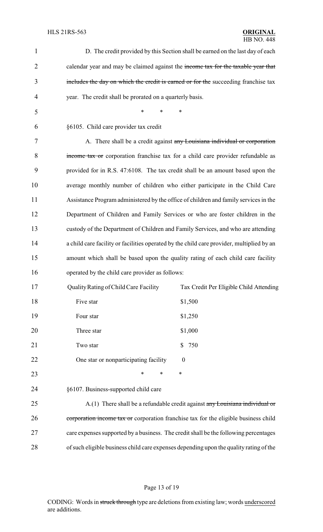| $\mathbf{1}$   | D. The credit provided by this Section shall be earned on the last day of each            |
|----------------|-------------------------------------------------------------------------------------------|
| $\overline{2}$ | calendar year and may be claimed against the income tax for the taxable year that         |
| 3              | includes the day on which the credit is earned or for the succeeding franchise tax        |
| $\overline{4}$ | year. The credit shall be prorated on a quarterly basis.                                  |
| 5              | $\ast$<br>$\ast$<br>*                                                                     |
| 6              | §6105. Child care provider tax credit                                                     |
| 7              | A. There shall be a credit against any Louisiana individual or corporation                |
| 8              | income tax or corporation franchise tax for a child care provider refundable as           |
| 9              | provided for in R.S. 47:6108. The tax credit shall be an amount based upon the            |
| 10             | average monthly number of children who either participate in the Child Care               |
| 11             | Assistance Program administered by the office of children and family services in the      |
| 12             | Department of Children and Family Services or who are foster children in the              |
| 13             | custody of the Department of Children and Family Services, and who are attending          |
| 14             | a child care facility or facilities operated by the child care provider, multiplied by an |
| 15             | amount which shall be based upon the quality rating of each child care facility           |
| 16             | operated by the child care provider as follows:                                           |
| 17             | Quality Rating of Child Care Facility<br>Tax Credit Per Eligible Child Attending          |
| 18             | \$1,500<br>Five star                                                                      |
| 19             | Four star<br>\$1,250                                                                      |
| 20             | Three star<br>\$1,000                                                                     |
| 21             | 750<br>Two star<br>\$                                                                     |
| 22             | One star or nonparticipating facility<br>$\boldsymbol{0}$                                 |
| 23             | $\ast$<br>$\ast$<br>∗                                                                     |
| 24             | §6107. Business-supported child care                                                      |
| 25             | $A(1)$ There shall be a refundable credit against any Louisiana individual or             |
| 26             | corporation income tax or corporation franchise tax for the eligible business child       |
| 27             | care expenses supported by a business. The credit shall be the following percentages      |
| 28             | of such eligible business child care expenses depending upon the quality rating of the    |

# Page 13 of 19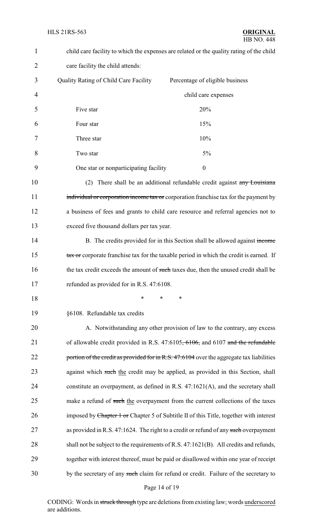| $\mathbf{1}$   | child care facility to which the expenses are related or the quality rating of the child |                                                                                          |
|----------------|------------------------------------------------------------------------------------------|------------------------------------------------------------------------------------------|
| $\overline{2}$ | care facility the child attends:                                                         |                                                                                          |
| 3              | Quality Rating of Child Care Facility                                                    | Percentage of eligible business                                                          |
| 4              |                                                                                          | child care expenses                                                                      |
| 5              | Five star                                                                                | 20%                                                                                      |
| 6              | Four star                                                                                | 15%                                                                                      |
| 7              | Three star                                                                               | 10%                                                                                      |
| 8              | Two star                                                                                 | 5%                                                                                       |
| 9              | One star or nonparticipating facility                                                    | $\boldsymbol{0}$                                                                         |
| 10             | (2)                                                                                      | There shall be an additional refundable credit against any Louisiana                     |
| 11             |                                                                                          | individual or corporation income tax or corporation franchise tax for the payment by     |
| 12             |                                                                                          | a business of fees and grants to child care resource and referral agencies not to        |
| 13             | exceed five thousand dollars per tax year.                                               |                                                                                          |
| 14             |                                                                                          | B. The credits provided for in this Section shall be allowed against income              |
| 15             |                                                                                          | tax or corporate franchise tax for the taxable period in which the credit is earned. If  |
| 16             |                                                                                          | the tax credit exceeds the amount of such taxes due, then the unused credit shall be     |
| 17             | refunded as provided for in R.S. 47:6108                                                 |                                                                                          |
| 18             | $\ast$<br>∗                                                                              | $\ast$                                                                                   |
| 19             | §6108. Refundable tax credits                                                            |                                                                                          |
| 20             |                                                                                          | A. Notwithstanding any other provision of law to the contrary, any excess                |
| 21             |                                                                                          | of allowable credit provided in R.S. $47:6105, 6106$ , and $6107$ and the refundable     |
| 22             |                                                                                          | portion of the credit as provided for in R.S. 47:6104 over the aggregate tax liabilities |
| 23             |                                                                                          | against which such the credit may be applied, as provided in this Section, shall         |
| 24             |                                                                                          | constitute an overpayment, as defined in R.S. 47:1621(A), and the secretary shall        |
| 25             |                                                                                          | make a refund of such the overpayment from the current collections of the taxes          |
| 26             |                                                                                          | imposed by Chapter 1 or Chapter 5 of Subtitle II of this Title, together with interest   |
| 27             |                                                                                          | as provided in R.S. 47:1624. The right to a credit or refund of any such overpayment     |
| 28             |                                                                                          | shall not be subject to the requirements of R.S. 47:1621(B). All credits and refunds,    |
| 29             |                                                                                          | together with interest thereof, must be paid or disallowed within one year of receipt    |
| 30             |                                                                                          | by the secretary of any such claim for refund or credit. Failure of the secretary to     |
|                | Page 14 of 19                                                                            |                                                                                          |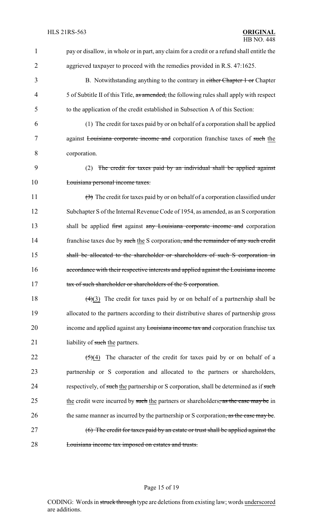| 1              | pay or disallow, in whole or in part, any claim for a credit or a refund shall entitle the             |  |
|----------------|--------------------------------------------------------------------------------------------------------|--|
| $\overline{2}$ | aggrieved taxpayer to proceed with the remedies provided in R.S. 47:1625.                              |  |
| 3              | B. Notwithstanding anything to the contrary in either Chapter 1 or Chapter                             |  |
| 4              | 5 of Subtitle II of this Title, as amended, the following rules shall apply with respect               |  |
| 5              | to the application of the credit established in Subsection A of this Section:                          |  |
| 6              | (1) The credit for taxes paid by or on behalf of a corporation shall be applied                        |  |
| 7              | against Louisiana corporate income and corporation franchise taxes of such the                         |  |
| 8              | corporation.                                                                                           |  |
| 9              | The credit for taxes paid by an individual shall be applied against<br>(2)                             |  |
| 10             | Louisiana personal income taxes.                                                                       |  |
| 11             | $\left(\frac{1}{2}\right)$ The credit for taxes paid by or on behalf of a corporation classified under |  |
| 12             | Subchapter S of the Internal Revenue Code of 1954, as amended, as an S corporation                     |  |
| 13             | shall be applied first against any Louisiana corporate income and corporation                          |  |
| 14             | franchise taxes due by such the S corporation, and the remainder of any such credit                    |  |
| 15             | shall be allocated to the shareholder or shareholders of such S corporation in                         |  |
| 16             | accordance with their respective interests and applied against the Louisiana income                    |  |
| 17             | tax of such shareholder or shareholders of the S corporation.                                          |  |
| 18             | $\left(\frac{4}{3}\right)$ The credit for taxes paid by or on behalf of a partnership shall be         |  |
| 19             | allocated to the partners according to their distributive shares of partnership gross                  |  |
| 20             | income and applied against any Louisiana income tax and corporation franchise tax                      |  |
| 21             | liability of such the partners.                                                                        |  |
| 22             | The character of the credit for taxes paid by or on behalf of a<br>$\left( 5\right) (4)$               |  |
| 23             | partnership or S corporation and allocated to the partners or shareholders,                            |  |
| 24             | respectively, of such the partnership or S corporation, shall be determined as if such                 |  |
| 25             | the credit were incurred by such the partners or shareholders, as the case may be in                   |  |
| 26             | the same manner as incurred by the partnership or S corporation, as the case may be.                   |  |
| 27             | (6) The credit for taxes paid by an estate or trust shall be applied against the                       |  |
| 28             | Louisiana income tax imposed on estates and trusts.                                                    |  |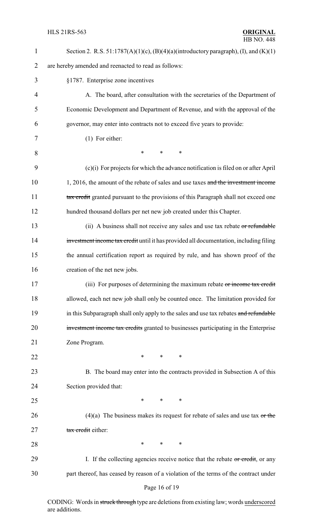| $\mathbf{1}$   | Section 2. R.S. $51:1787(A)(1)(c)$ , $(B)(4)(a)(introductory paragraph)$ , $(I)$ , and $(K)(1)$ |  |  |
|----------------|-------------------------------------------------------------------------------------------------|--|--|
| $\overline{2}$ | are hereby amended and reenacted to read as follows:                                            |  |  |
| 3              | §1787. Enterprise zone incentives                                                               |  |  |
| $\overline{4}$ | A. The board, after consultation with the secretaries of the Department of                      |  |  |
| 5              | Economic Development and Department of Revenue, and with the approval of the                    |  |  |
| 6              | governor, may enter into contracts not to exceed five years to provide:                         |  |  |
| 7              | $(1)$ For either:                                                                               |  |  |
| 8              | $\ast$<br>∗<br>∗                                                                                |  |  |
| 9              | $(c)(i)$ For projects for which the advance notification is filed on or after April             |  |  |
| 10             | 1, 2016, the amount of the rebate of sales and use taxes and the investment income              |  |  |
| 11             | tax credit granted pursuant to the provisions of this Paragraph shall not exceed one            |  |  |
| 12             | hundred thousand dollars per net new job created under this Chapter.                            |  |  |
| 13             | (ii) A business shall not receive any sales and use tax rebate or refundable                    |  |  |
| 14             | investment income tax credit until it has provided all documentation, including filing          |  |  |
| 15             | the annual certification report as required by rule, and has shown proof of the                 |  |  |
| 16             | creation of the net new jobs.                                                                   |  |  |
| 17             | (iii) For purposes of determining the maximum rebate or income tax credit                       |  |  |
| 18             | allowed, each net new job shall only be counted once. The limitation provided for               |  |  |
| 19             | in this Subparagraph shall only apply to the sales and use tax rebates and refundable           |  |  |
| 20             | investment income tax credits granted to businesses participating in the Enterprise             |  |  |
| 21             | Zone Program.                                                                                   |  |  |
| 22             | *<br>$\ast$<br>∗                                                                                |  |  |
| 23             | B. The board may enter into the contracts provided in Subsection A of this                      |  |  |
| 24             | Section provided that:                                                                          |  |  |
| 25             | $\ast$<br>*<br>∗                                                                                |  |  |
| 26             | $(4)(a)$ The business makes its request for rebate of sales and use tax or the                  |  |  |
| 27             | tax credit either:                                                                              |  |  |
| 28             | $\ast$<br>$\ast$<br>∗                                                                           |  |  |
| 29             | I. If the collecting agencies receive notice that the rebate or credit, or any                  |  |  |
| 30             | part thereof, has ceased by reason of a violation of the terms of the contract under            |  |  |
|                |                                                                                                 |  |  |

# Page 16 of 19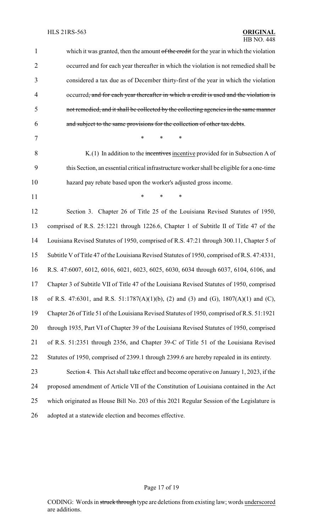| $\mathbf{1}$   | which it was granted, then the amount of the credit for the year in which the violation      |
|----------------|----------------------------------------------------------------------------------------------|
| $\overline{2}$ | occurred and for each year thereafter in which the violation is not remedied shall be        |
| 3              | considered a tax due as of December thirty-first of the year in which the violation          |
| $\overline{4}$ | occurred, and for each year thereafter in which a credit is used and the violation is        |
| 5              | not remedied, and it shall be collected by the collecting agencies in the same manner        |
| 6              | and subject to the same provisions for the collection of other tax debts.                    |
| 7              | $\ast$<br>$\ast$<br>$\ast$                                                                   |
| 8              | $K(1)$ In addition to the incentives incentive provided for in Subsection A of               |
| 9              | this Section, an essential critical infrastructure worker shall be eligible for a one-time   |
| 10             | hazard pay rebate based upon the worker's adjusted gross income.                             |
| 11             | $\ast$<br>$\ast$<br>$\ast$                                                                   |
| 12             | Section 3. Chapter 26 of Title 25 of the Louisiana Revised Statutes of 1950,                 |
| 13             | comprised of R.S. 25:1221 through 1226.6, Chapter 1 of Subtitle II of Title 47 of the        |
| 14             | Louisiana Revised Statutes of 1950, comprised of R.S. 47:21 through 300.11, Chapter 5 of     |
| 15             | Subtitle V of Title 47 of the Louisiana Revised Statutes of 1950, comprised of R.S. 47:4331, |
| 16             | R.S. 47:6007, 6012, 6016, 6021, 6023, 6025, 6030, 6034 through 6037, 6104, 6106, and         |
| 17             | Chapter 3 of Subtitle VII of Title 47 of the Louisiana Revised Statutes of 1950, comprised   |
| 18             | of R.S. 47:6301, and R.S. 51:1787(A)(1)(b), (2) and (3) and (G), 1807(A)(1) and (C),         |
| 19             | Chapter 26 of Title 51 of the Louisiana Revised Statutes of 1950, comprised of R.S. 51:1921  |
| 20             | through 1935, Part VI of Chapter 39 of the Louisiana Revised Statutes of 1950, comprised     |
| 21             | of R.S. 51:2351 through 2356, and Chapter 39-C of Title 51 of the Louisiana Revised          |
| 22             | Statutes of 1950, comprised of 2399.1 through 2399.6 are hereby repealed in its entirety.    |
| 23             | Section 4. This Act shall take effect and become operative on January 1, 2023, if the        |
| 24             | proposed amendment of Article VII of the Constitution of Louisiana contained in the Act      |
| 25             | which originated as House Bill No. 203 of this 2021 Regular Session of the Legislature is    |
| 26             | adopted at a statewide election and becomes effective.                                       |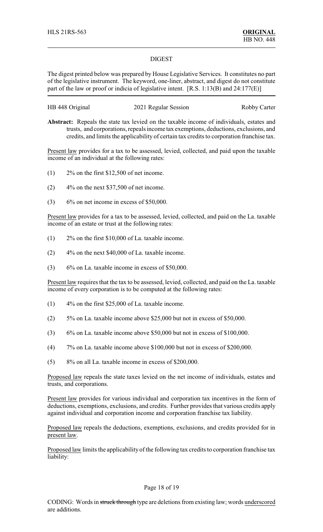### DIGEST

The digest printed below was prepared by House Legislative Services. It constitutes no part of the legislative instrument. The keyword, one-liner, abstract, and digest do not constitute part of the law or proof or indicia of legislative intent. [R.S. 1:13(B) and 24:177(E)]

| HB 448 Original | 2021 Regular Session | <b>Robby Carter</b> |
|-----------------|----------------------|---------------------|
|-----------------|----------------------|---------------------|

**Abstract:** Repeals the state tax levied on the taxable income of individuals, estates and trusts, and corporations, repeals income tax exemptions, deductions, exclusions, and credits, and limits the applicability of certain tax credits to corporation franchise tax.

Present law provides for a tax to be assessed, levied, collected, and paid upon the taxable income of an individual at the following rates:

- (1) 2% on the first \$12,500 of net income.
- $(2)$  4% on the next \$37,500 of net income.
- $(3)$  6% on net income in excess of \$50,000.

Present law provides for a tax to be assessed, levied, collected, and paid on the La. taxable income of an estate or trust at the following rates:

- (1) 2% on the first \$10,000 of La. taxable income.
- (2) 4% on the next \$40,000 of La. taxable income.
- (3) 6% on La. taxable income in excess of \$50,000.

Present law requires that the tax to be assessed, levied, collected, and paid on the La. taxable income of every corporation is to be computed at the following rates:

- (1) 4% on the first \$25,000 of La. taxable income.
- (2) 5% on La. taxable income above \$25,000 but not in excess of \$50,000.
- (3) 6% on La. taxable income above \$50,000 but not in excess of \$100,000.
- (4) 7% on La. taxable income above \$100,000 but not in excess of \$200,000.
- (5) 8% on all La. taxable income in excess of \$200,000.

Proposed law repeals the state taxes levied on the net income of individuals, estates and trusts, and corporations.

Present law provides for various individual and corporation tax incentives in the form of deductions, exemptions, exclusions, and credits. Further provides that various credits apply against individual and corporation income and corporation franchise tax liability.

Proposed law repeals the deductions, exemptions, exclusions, and credits provided for in present law.

Proposed law limits the applicability of the following tax credits to corporation franchise tax liability:

### Page 18 of 19